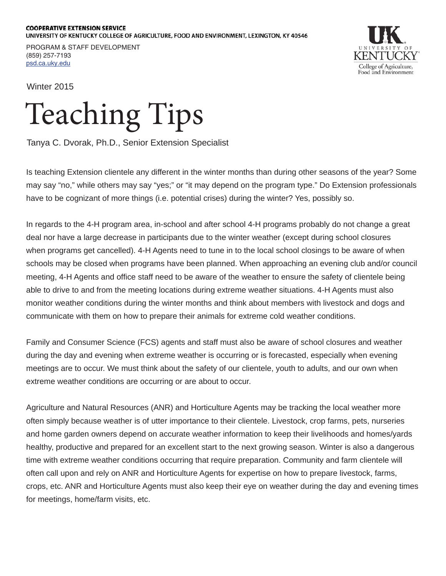## **COOPERATIVE EXTENSION SERVICE** UNIVERSITY OF KENTUCKY COLLEGE OF AGRICULTURE, FOOD AND ENVIRONMENT, LEXINGTON, KY 40546

PROGRAM & STAFF DEVELOPMENT (859) 257-7193 psd.ca.uky.edu



Winter 2015

## Teaching Tips

Tanya C. Dvorak, Ph.D., Senior Extension Specialist

Is teaching Extension clientele any different in the winter months than during other seasons of the year? Some may say "no," while others may say "yes;" or "it may depend on the program type." Do Extension professionals have to be cognizant of more things (i.e. potential crises) during the winter? Yes, possibly so.

In regards to the 4-H program area, in-school and after school 4-H programs probably do not change a great deal nor have a large decrease in participants due to the winter weather (except during school closures when programs get cancelled). 4-H Agents need to tune in to the local school closings to be aware of when schools may be closed when programs have been planned. When approaching an evening club and/or council meeting, 4-H Agents and office staff need to be aware of the weather to ensure the safety of clientele being able to drive to and from the meeting locations during extreme weather situations. 4-H Agents must also monitor weather conditions during the winter months and think about members with livestock and dogs and communicate with them on how to prepare their animals for extreme cold weather conditions.

Family and Consumer Science (FCS) agents and staff must also be aware of school closures and weather during the day and evening when extreme weather is occurring or is forecasted, especially when evening meetings are to occur. We must think about the safety of our clientele, youth to adults, and our own when extreme weather conditions are occurring or are about to occur.

Agriculture and Natural Resources (ANR) and Horticulture Agents may be tracking the local weather more often simply because weather is of utter importance to their clientele. Livestock, crop farms, pets, nurseries and home garden owners depend on accurate weather information to keep their livelihoods and homes/yards healthy, productive and prepared for an excellent start to the next growing season. Winter is also a dangerous time with extreme weather conditions occurring that require preparation. Community and farm clientele will often call upon and rely on ANR and Horticulture Agents for expertise on how to prepare livestock, farms, crops, etc. ANR and Horticulture Agents must also keep their eye on weather during the day and evening times for meetings, home/farm visits, etc.